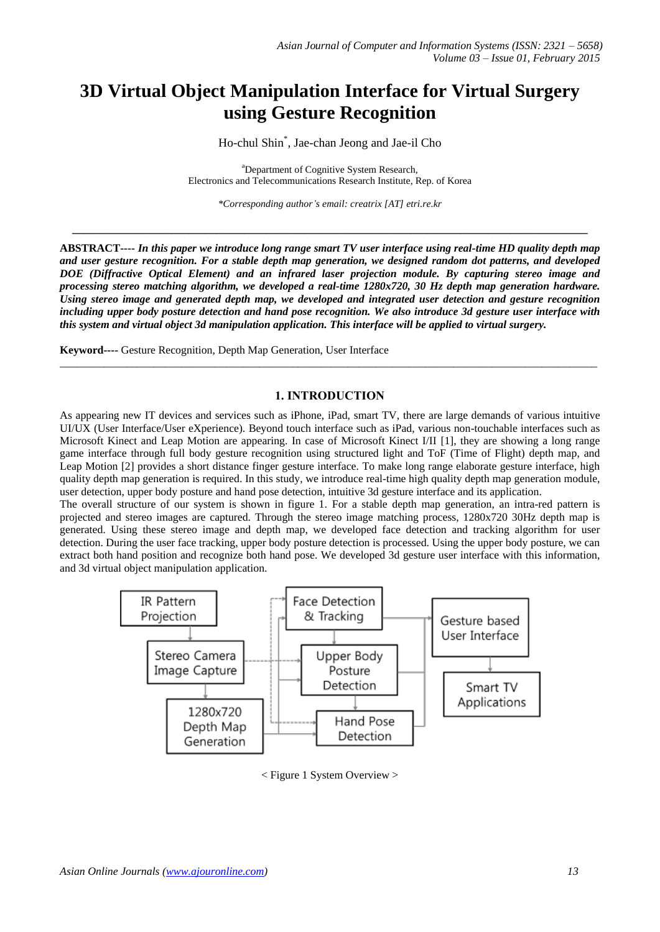# **3D Virtual Object Manipulation Interface for Virtual Surgery using Gesture Recognition**

Ho-chul Shin\* , Jae-chan Jeong and Jae-il Cho

<sup>a</sup>Department of Cognitive System Research, Electronics and Telecommunications Research Institute, Rep. of Korea

*\*Corresponding author's email: creatrix [AT] etri.re.kr*

**\_\_\_\_\_\_\_\_\_\_\_\_\_\_\_\_\_\_\_\_\_\_\_\_\_\_\_\_\_\_\_\_\_\_\_\_\_\_\_\_\_\_\_\_\_\_\_\_\_\_\_\_\_\_\_\_\_\_\_\_\_\_\_\_\_\_\_\_\_\_\_\_\_\_\_\_\_\_\_\_\_\_\_\_\_\_\_\_\_\_\_\_\_**

**ABSTRACT----** *In this paper we introduce long range smart TV user interface using real-time HD quality depth map and user gesture recognition. For a stable depth map generation, we designed random dot patterns, and developed DOE (Diffractive Optical Element) and an infrared laser projection module. By capturing stereo image and processing stereo matching algorithm, we developed a real-time 1280x720, 30 Hz depth map generation hardware. Using stereo image and generated depth map, we developed and integrated user detection and gesture recognition including upper body posture detection and hand pose recognition. We also introduce 3d gesture user interface with this system and virtual object 3d manipulation application. This interface will be applied to virtual surgery.*

**Keyword----** Gesture Recognition, Depth Map Generation, User Interface

#### **1. INTRODUCTION**

 $\_$  ,  $\_$  ,  $\_$  ,  $\_$  ,  $\_$  ,  $\_$  ,  $\_$  ,  $\_$  ,  $\_$  ,  $\_$  ,  $\_$  ,  $\_$  ,  $\_$  ,  $\_$  ,  $\_$  ,  $\_$  ,  $\_$  ,  $\_$  ,  $\_$  ,  $\_$  ,  $\_$  ,  $\_$  ,  $\_$  ,  $\_$  ,  $\_$  ,  $\_$  ,  $\_$  ,  $\_$  ,  $\_$  ,  $\_$  ,  $\_$  ,  $\_$  ,  $\_$  ,  $\_$  ,  $\_$  ,  $\_$  ,  $\_$  ,

As appearing new IT devices and services such as iPhone, iPad, smart TV, there are large demands of various intuitive UI/UX (User Interface/User eXperience). Beyond touch interface such as iPad, various non-touchable interfaces such as Microsoft Kinect and Leap Motion are appearing. In case of Microsoft Kinect I/II [1], they are showing a long range game interface through full body gesture recognition using structured light and ToF (Time of Flight) depth map, and Leap Motion [2] provides a short distance finger gesture interface. To make long range elaborate gesture interface, high quality depth map generation is required. In this study, we introduce real-time high quality depth map generation module, user detection, upper body posture and hand pose detection, intuitive 3d gesture interface and its application.

The overall structure of our system is shown in figure 1. For a stable depth map generation, an intra-red pattern is projected and stereo images are captured. Through the stereo image matching process, 1280x720 30Hz depth map is generated. Using these stereo image and depth map, we developed face detection and tracking algorithm for user detection. During the user face tracking, upper body posture detection is processed. Using the upper body posture, we can extract both hand position and recognize both hand pose. We developed 3d gesture user interface with this information, and 3d virtual object manipulation application.



< Figure 1 System Overview >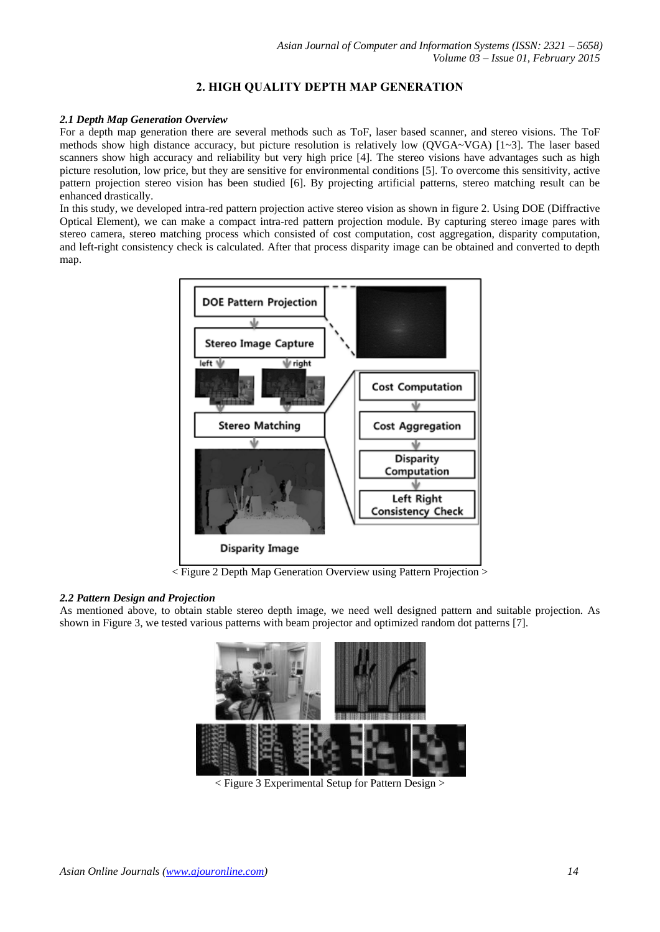## **2. HIGH QUALITY DEPTH MAP GENERATION**

#### *2.1 Depth Map Generation Overview*

For a depth map generation there are several methods such as ToF, laser based scanner, and stereo visions. The ToF methods show high distance accuracy, but picture resolution is relatively low (QVGA~VGA) [1~3]. The laser based scanners show high accuracy and reliability but very high price [4]. The stereo visions have advantages such as high picture resolution, low price, but they are sensitive for environmental conditions [5]. To overcome this sensitivity, active pattern projection stereo vision has been studied [6]. By projecting artificial patterns, stereo matching result can be enhanced drastically.

In this study, we developed intra-red pattern projection active stereo vision as shown in figure 2. Using DOE (Diffractive Optical Element), we can make a compact intra-red pattern projection module. By capturing stereo image pares with stereo camera, stereo matching process which consisted of cost computation, cost aggregation, disparity computation, and left-right consistency check is calculated. After that process disparity image can be obtained and converted to depth map.



< Figure 2 Depth Map Generation Overview using Pattern Projection >

#### *2.2 Pattern Design and Projection*

As mentioned above, to obtain stable stereo depth image, we need well designed pattern and suitable projection. As shown in Figure 3, we tested various patterns with beam projector and optimized random dot patterns [7].



< Figure 3 Experimental Setup for Pattern Design >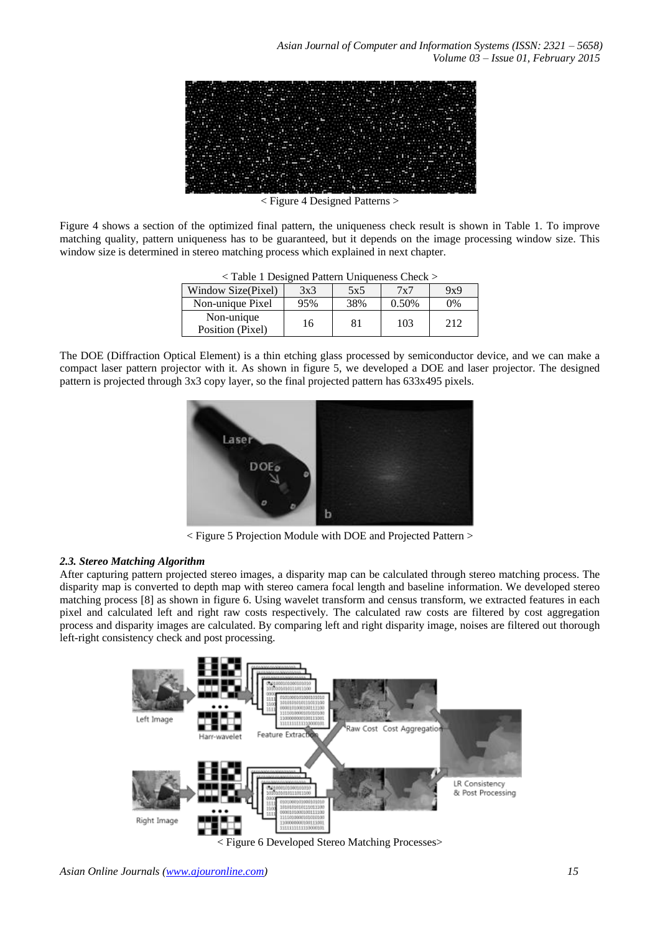

< Figure 4 Designed Patterns >

Figure 4 shows a section of the optimized final pattern, the uniqueness check result is shown in Table 1. To improve matching quality, pattern uniqueness has to be guaranteed, but it depends on the image processing window size. This window size is determined in stereo matching process which explained in next chapter.

| $\langle$ Table 1 Designed Pattern Uniqueness Check $>$ |     |     |       |     |
|---------------------------------------------------------|-----|-----|-------|-----|
| Window Size(Pixel)                                      | 3x3 | 5x5 | 7x7   | 9x9 |
| Non-unique Pixel                                        | 95% | 38% | 0.50% | 0%  |
| Non-unique<br>Position (Pixel)                          | 16  | 81  | 103   | 212 |

The DOE (Diffraction Optical Element) is a thin etching glass processed by semiconductor device, and we can make a compact laser pattern projector with it. As shown in figure 5, we developed a DOE and laser projector. The designed pattern is projected through 3x3 copy layer, so the final projected pattern has 633x495 pixels.



< Figure 5 Projection Module with DOE and Projected Pattern >

#### *2.3. Stereo Matching Algorithm*

After capturing pattern projected stereo images, a disparity map can be calculated through stereo matching process. The disparity map is converted to depth map with stereo camera focal length and baseline information. We developed stereo matching process [8] as shown in figure 6. Using wavelet transform and census transform, we extracted features in each pixel and calculated left and right raw costs respectively. The calculated raw costs are filtered by cost aggregation process and disparity images are calculated. By comparing left and right disparity image, noises are filtered out thorough left-right consistency check and post processing.

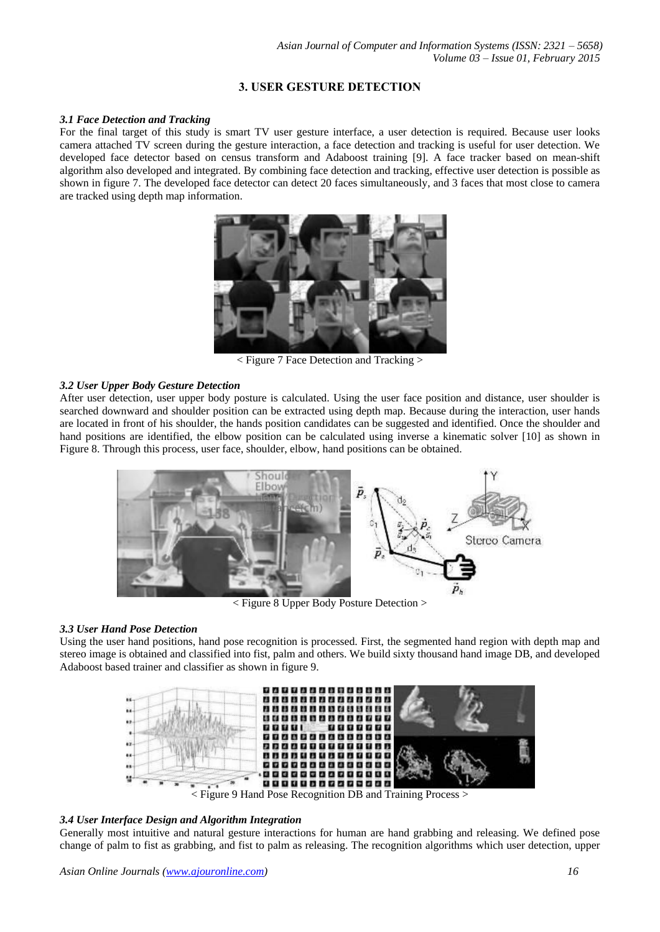## **3. USER GESTURE DETECTION**

#### *3.1 Face Detection and Tracking*

For the final target of this study is smart TV user gesture interface, a user detection is required. Because user looks camera attached TV screen during the gesture interaction, a face detection and tracking is useful for user detection. We developed face detector based on census transform and Adaboost training [9]. A face tracker based on mean-shift algorithm also developed and integrated. By combining face detection and tracking, effective user detection is possible as shown in figure 7. The developed face detector can detect 20 faces simultaneously, and 3 faces that most close to camera are tracked using depth map information.



< Figure 7 Face Detection and Tracking >

## *3.2 User Upper Body Gesture Detection*

After user detection, user upper body posture is calculated. Using the user face position and distance, user shoulder is searched downward and shoulder position can be extracted using depth map. Because during the interaction, user hands are located in front of his shoulder, the hands position candidates can be suggested and identified. Once the shoulder and hand positions are identified, the elbow position can be calculated using inverse a kinematic solver [10] as shown in Figure 8. Through this process, user face, shoulder, elbow, hand positions can be obtained.



< Figure 8 Upper Body Posture Detection >

#### *3.3 User Hand Pose Detection*

Using the user hand positions, hand pose recognition is processed. First, the segmented hand region with depth map and stereo image is obtained and classified into fist, palm and others. We build sixty thousand hand image DB, and developed Adaboost based trainer and classifier as shown in figure 9.



< Figure 9 Hand Pose Recognition DB and Training Process >

#### *3.4 User Interface Design and Algorithm Integration*

Generally most intuitive and natural gesture interactions for human are hand grabbing and releasing. We defined pose change of palm to fist as grabbing, and fist to palm as releasing. The recognition algorithms which user detection, upper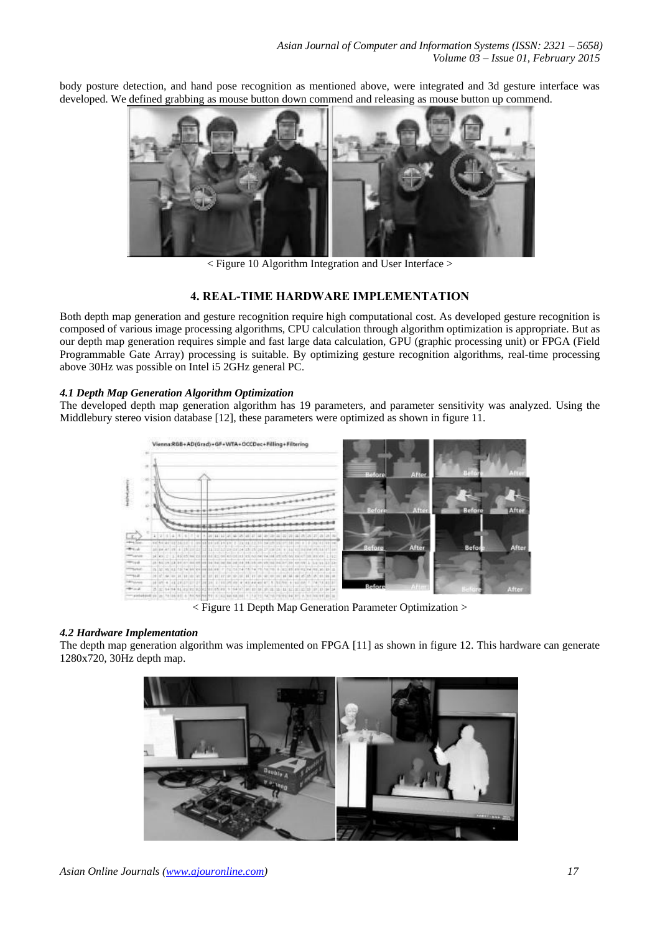body posture detection, and hand pose recognition as mentioned above, were integrated and 3d gesture interface was developed. We defined grabbing as mouse button down commend and releasing as mouse button up commend.



< Figure 10 Algorithm Integration and User Interface >

#### **4. REAL-TIME HARDWARE IMPLEMENTATION**

Both depth map generation and gesture recognition require high computational cost. As developed gesture recognition is composed of various image processing algorithms, CPU calculation through algorithm optimization is appropriate. But as our depth map generation requires simple and fast large data calculation, GPU (graphic processing unit) or FPGA (Field Programmable Gate Array) processing is suitable. By optimizing gesture recognition algorithms, real-time processing above 30Hz was possible on Intel i5 2GHz general PC.

#### *4.1 Depth Map Generation Algorithm Optimization*

The developed depth map generation algorithm has 19 parameters, and parameter sensitivity was analyzed. Using the Middlebury stereo vision database [12], these parameters were optimized as shown in figure 11.



< Figure 11 Depth Map Generation Parameter Optimization >

#### *4.2 Hardware Implementation*

The depth map generation algorithm was implemented on FPGA [11] as shown in figure 12. This hardware can generate 1280x720, 30Hz depth map.

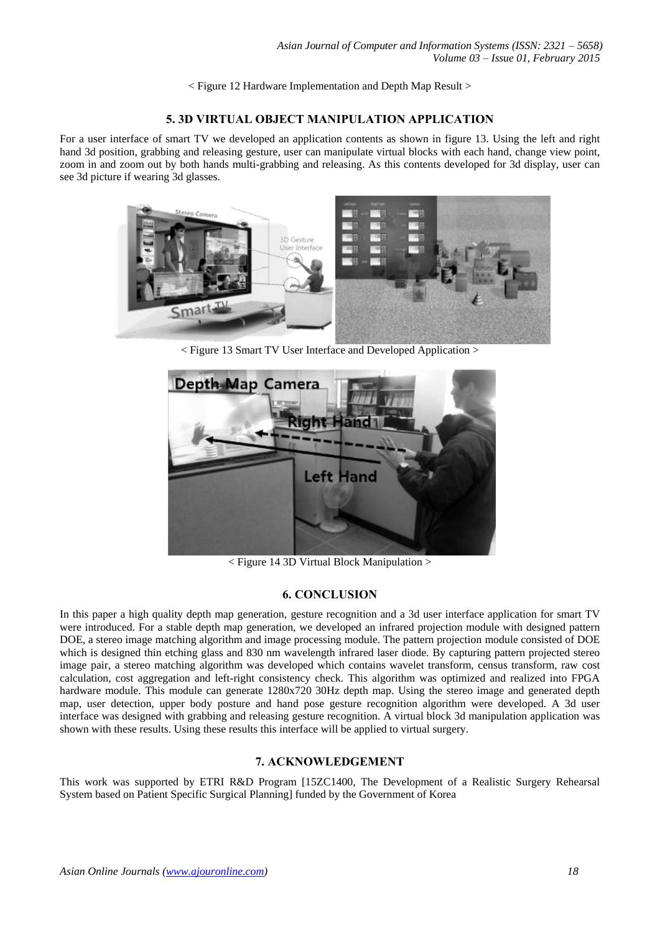< Figure 12 Hardware Implementation and Depth Map Result >

#### **5. 3D VIRTUAL OBJECT MANIPULATION APPLICATION**

For a user interface of smart TV we developed an application contents as shown in figure 13. Using the left and right hand 3d position, grabbing and releasing gesture, user can manipulate virtual blocks with each hand, change view point, zoom in and zoom out by both hands multi-grabbing and releasing. As this contents developed for 3d display, user can see 3d picture if wearing 3d glasses.



< Figure 13 Smart TV User Interface and Developed Application >



< Figure 14 3D Virtual Block Manipulation >

#### **6. CONCLUSION**

In this paper a high quality depth map generation, gesture recognition and a 3d user interface application for smart TV were introduced. For a stable depth map generation, we developed an infrared projection module with designed pattern DOE, a stereo image matching algorithm and image processing module. The pattern projection module consisted of DOE which is designed thin etching glass and 830 nm wavelength infrared laser diode. By capturing pattern projected stereo image pair, a stereo matching algorithm was developed which contains wavelet transform, census transform, raw cost calculation, cost aggregation and left-right consistency check. This algorithm was optimized and realized into FPGA hardware module. This module can generate 1280x720 30Hz depth map. Using the stereo image and generated depth map, user detection, upper body posture and hand pose gesture recognition algorithm were developed. A 3d user interface was designed with grabbing and releasing gesture recognition. A virtual block 3d manipulation application was shown with these results. Using these results this interface will be applied to virtual surgery.

#### **7. ACKNOWLEDGEMENT**

This work was supported by ETRI R&D Program [15ZC1400, The Development of a Realistic Surgery Rehearsal System based on Patient Specific Surgical Planning] funded by the Government of Korea